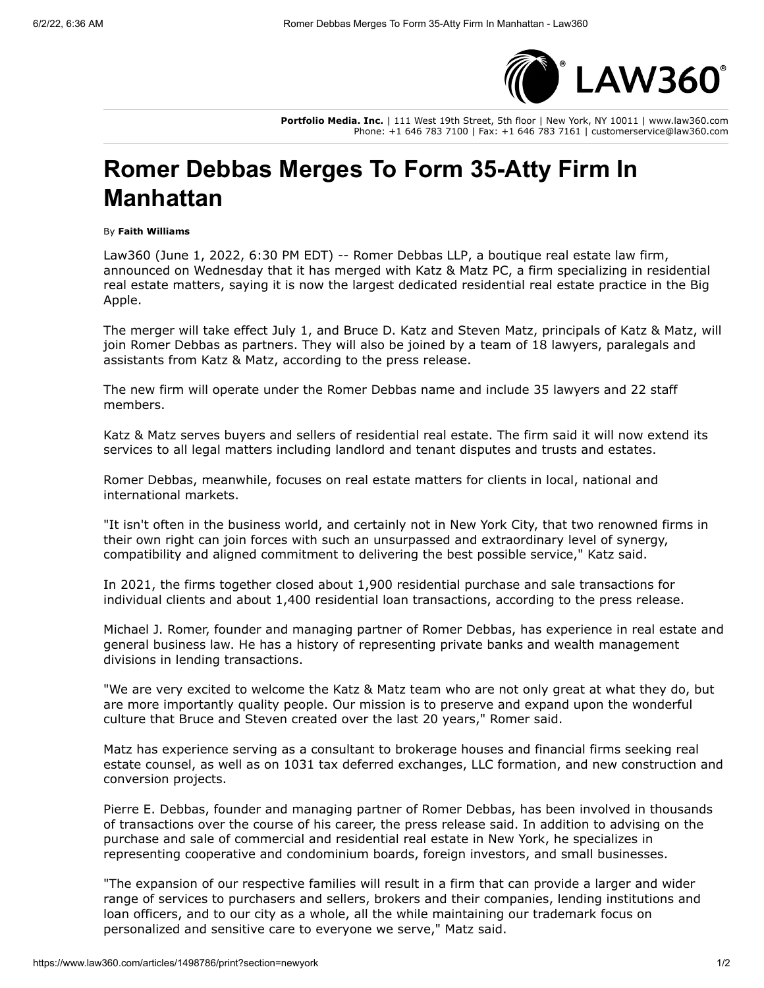

**Portfolio Media. Inc.** | 111 West 19th Street, 5th floor | New York, NY 10011 | www.law360.com Phone: +1 646 783 7100 | Fax: +1 646 783 7161 | customerservice@law360.com

## **Romer Debbas Merges To Form 35-Atty Firm In Manhattan**

## By **Faith Williams**

Law360 (June 1, 2022, 6:30 PM EDT) -- [Romer Debbas LLP](https://www.law360.com/firms/romer-debbas), a boutique real estate law firm, announced on Wednesday that it has merged with [Katz & Matz PC,](https://www.law360.com/firms/katz-matz) a firm specializing in residential real estate matters, saying it is now the largest dedicated residential real estate practice in the Big Apple.

The merger will take effect July 1, and Bruce D. Katz and Steven Matz, principals of Katz & Matz, will join Romer Debbas as partners. They will also be joined by a team of 18 lawyers, paralegals and assistants from Katz & Matz, according to the press release.

The new firm will operate under the Romer Debbas name and include 35 lawyers and 22 staff members.

Katz & Matz serves buyers and sellers of residential real estate. The firm said it will now extend its services to all legal matters including landlord and tenant disputes and trusts and estates.

Romer Debbas, meanwhile, focuses on real estate matters for clients in local, national and international markets.

"It isn't often in the business world, and certainly not in New York City, that two renowned firms in their own right can join forces with such an unsurpassed and extraordinary level of synergy, compatibility and aligned commitment to delivering the best possible service," Katz said.

In 2021, the firms together closed about 1,900 residential purchase and sale transactions for individual clients and about 1,400 residential loan transactions, according to the press release.

Michael J. Romer, founder and managing partner of Romer Debbas, has experience in real estate and general business law. He has a history of representing private banks and wealth management divisions in lending transactions.

"We are very excited to welcome the Katz & Matz team who are not only great at what they do, but are more importantly quality people. Our mission is to preserve and expand upon the wonderful culture that Bruce and Steven created over the last 20 years," Romer said.

Matz has experience serving as a consultant to brokerage houses and financial firms seeking real estate counsel, as well as on 1031 tax deferred exchanges, LLC formation, and new construction and conversion projects.

Pierre E. Debbas, founder and managing partner of Romer Debbas, has been involved in thousands of transactions over the course of his career, the press release said. In addition to advising on the purchase and sale of commercial and residential real estate in New York, he specializes in representing cooperative and condominium boards, foreign investors, and small businesses.

"The expansion of our respective families will result in a firm that can provide a larger and wider range of services to purchasers and sellers, brokers and their companies, lending institutions and loan officers, and to our city as a whole, all the while maintaining our trademark focus on personalized and sensitive care to everyone we serve," Matz said.